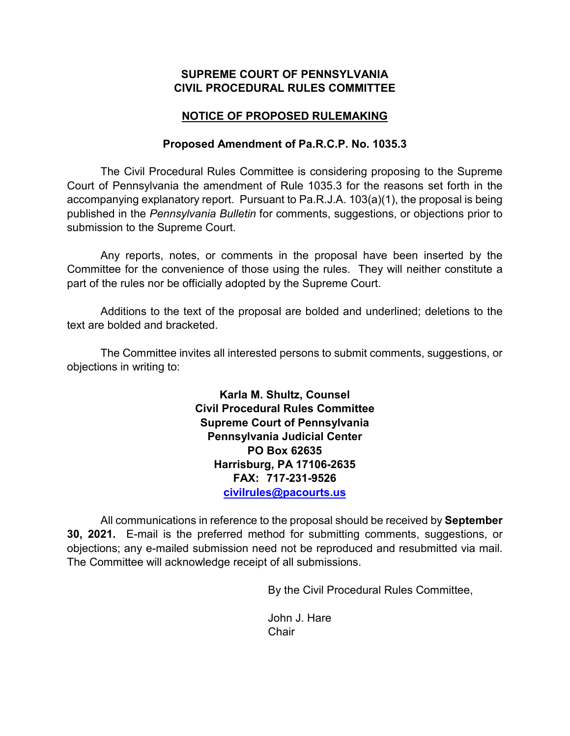## **SUPREME COURT OF PENNSYLVANIA CIVIL PROCEDURAL RULES COMMITTEE**

# **NOTICE OF PROPOSED RULEMAKING**

### **Proposed Amendment of Pa.R.C.P. No. 1035.3**

The Civil Procedural Rules Committee is considering proposing to the Supreme Court of Pennsylvania the amendment of Rule 1035.3 for the reasons set forth in the accompanying explanatory report. Pursuant to Pa.R.J.A. 103(a)(1), the proposal is being published in the *Pennsylvania Bulletin* for comments, suggestions, or objections prior to submission to the Supreme Court.

Any reports, notes, or comments in the proposal have been inserted by the Committee for the convenience of those using the rules. They will neither constitute a part of the rules nor be officially adopted by the Supreme Court.

Additions to the text of the proposal are bolded and underlined; deletions to the text are bolded and bracketed.

The Committee invites all interested persons to submit comments, suggestions, or objections in writing to:

> **Karla M. Shultz, Counsel Civil Procedural Rules Committee Supreme Court of Pennsylvania Pennsylvania Judicial Center PO Box 62635 Harrisburg, PA 17106-2635 FAX: 717-231-9526 [civilrules@pacourts.us](mailto:civilrules@pacourts.us)**

All communications in reference to the proposal should be received by **September 30, 2021.** E-mail is the preferred method for submitting comments, suggestions, or objections; any e-mailed submission need not be reproduced and resubmitted via mail. The Committee will acknowledge receipt of all submissions.

By the Civil Procedural Rules Committee,

John J. Hare **Chair**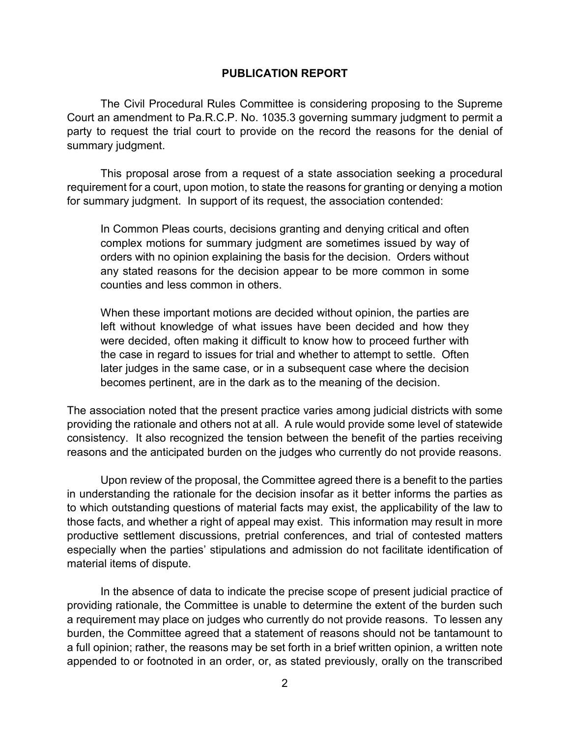#### **PUBLICATION REPORT**

The Civil Procedural Rules Committee is considering proposing to the Supreme Court an amendment to Pa.R.C.P. No. 1035.3 governing summary judgment to permit a party to request the trial court to provide on the record the reasons for the denial of summary judgment.

This proposal arose from a request of a state association seeking a procedural requirement for a court, upon motion, to state the reasons for granting or denying a motion for summary judgment. In support of its request, the association contended:

In Common Pleas courts, decisions granting and denying critical and often complex motions for summary judgment are sometimes issued by way of orders with no opinion explaining the basis for the decision. Orders without any stated reasons for the decision appear to be more common in some counties and less common in others.

When these important motions are decided without opinion, the parties are left without knowledge of what issues have been decided and how they were decided, often making it difficult to know how to proceed further with the case in regard to issues for trial and whether to attempt to settle. Often later judges in the same case, or in a subsequent case where the decision becomes pertinent, are in the dark as to the meaning of the decision.

The association noted that the present practice varies among judicial districts with some providing the rationale and others not at all. A rule would provide some level of statewide consistency. It also recognized the tension between the benefit of the parties receiving reasons and the anticipated burden on the judges who currently do not provide reasons.

Upon review of the proposal, the Committee agreed there is a benefit to the parties in understanding the rationale for the decision insofar as it better informs the parties as to which outstanding questions of material facts may exist, the applicability of the law to those facts, and whether a right of appeal may exist. This information may result in more productive settlement discussions, pretrial conferences, and trial of contested matters especially when the parties' stipulations and admission do not facilitate identification of material items of dispute.

In the absence of data to indicate the precise scope of present judicial practice of providing rationale, the Committee is unable to determine the extent of the burden such a requirement may place on judges who currently do not provide reasons. To lessen any burden, the Committee agreed that a statement of reasons should not be tantamount to a full opinion; rather, the reasons may be set forth in a brief written opinion, a written note appended to or footnoted in an order, or, as stated previously, orally on the transcribed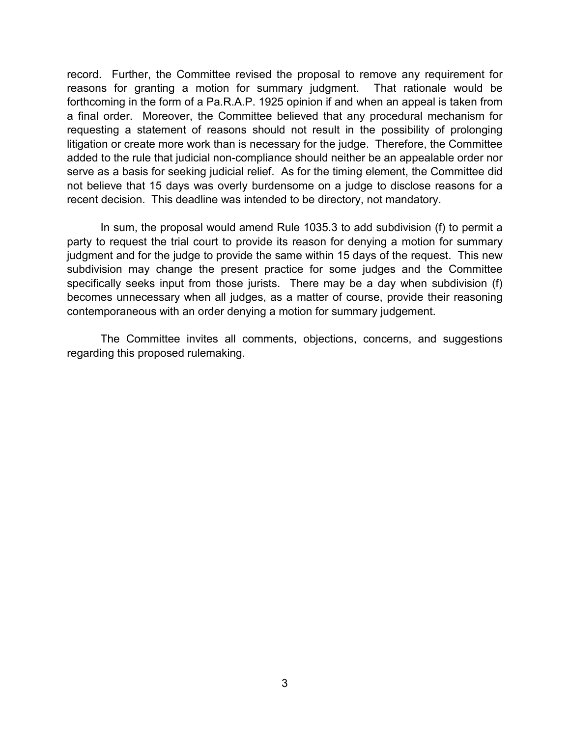record. Further, the Committee revised the proposal to remove any requirement for reasons for granting a motion for summary judgment. That rationale would be forthcoming in the form of a Pa.R.A.P. 1925 opinion if and when an appeal is taken from a final order. Moreover, the Committee believed that any procedural mechanism for requesting a statement of reasons should not result in the possibility of prolonging litigation or create more work than is necessary for the judge. Therefore, the Committee added to the rule that judicial non-compliance should neither be an appealable order nor serve as a basis for seeking judicial relief. As for the timing element, the Committee did not believe that 15 days was overly burdensome on a judge to disclose reasons for a recent decision. This deadline was intended to be directory, not mandatory.

In sum, the proposal would amend Rule 1035.3 to add subdivision (f) to permit a party to request the trial court to provide its reason for denying a motion for summary judgment and for the judge to provide the same within 15 days of the request. This new subdivision may change the present practice for some judges and the Committee specifically seeks input from those jurists. There may be a day when subdivision (f) becomes unnecessary when all judges, as a matter of course, provide their reasoning contemporaneous with an order denying a motion for summary judgement.

The Committee invites all comments, objections, concerns, and suggestions regarding this proposed rulemaking.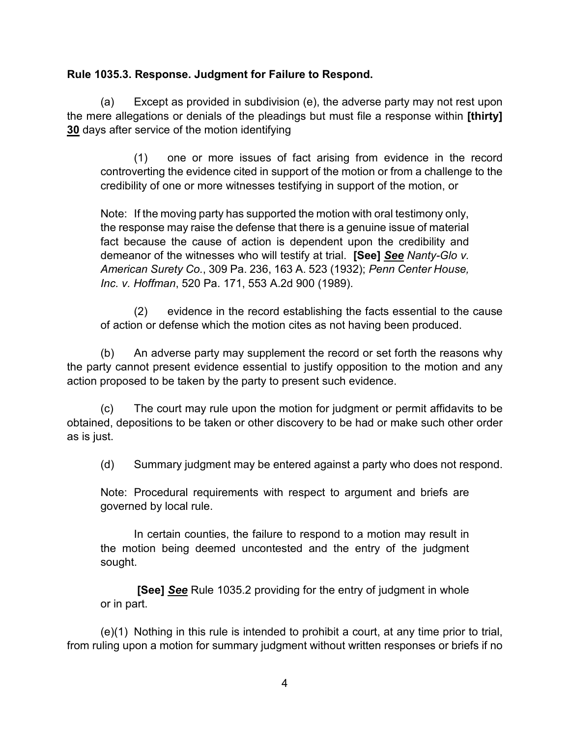# **Rule 1035.3. Response. Judgment for Failure to Respond.**

(a) Except as provided in subdivision (e), the adverse party may not rest upon the mere allegations or denials of the pleadings but must file a response within **[thirty] 30** days after service of the motion identifying

 (1) one or more issues of fact arising from evidence in the record controverting the evidence cited in support of the motion or from a challenge to the credibility of one or more witnesses testifying in support of the motion, or

Note: If the moving party has supported the motion with oral testimony only, the response may raise the defense that there is a genuine issue of material fact because the cause of action is dependent upon the credibility and demeanor of the witnesses who will testify at trial. **[See]** *See Nanty-Glo v. American Surety Co.*, 309 Pa. 236, 163 A. 523 (1932); *Penn Center House, Inc. v. Hoffman*, 520 Pa. 171, 553 A.2d 900 (1989).

 (2) evidence in the record establishing the facts essential to the cause of action or defense which the motion cites as not having been produced.

(b) An adverse party may supplement the record or set forth the reasons why the party cannot present evidence essential to justify opposition to the motion and any action proposed to be taken by the party to present such evidence.

(c) The court may rule upon the motion for judgment or permit affidavits to be obtained, depositions to be taken or other discovery to be had or make such other order as is just.

(d) Summary judgment may be entered against a party who does not respond.

Note: Procedural requirements with respect to argument and briefs are governed by local rule.

 In certain counties, the failure to respond to a motion may result in the motion being deemed uncontested and the entry of the judgment sought.

 **[See]** *See* Rule 1035.2 providing for the entry of judgment in whole or in part.

(e)(1) Nothing in this rule is intended to prohibit a court, at any time prior to trial, from ruling upon a motion for summary judgment without written responses or briefs if no